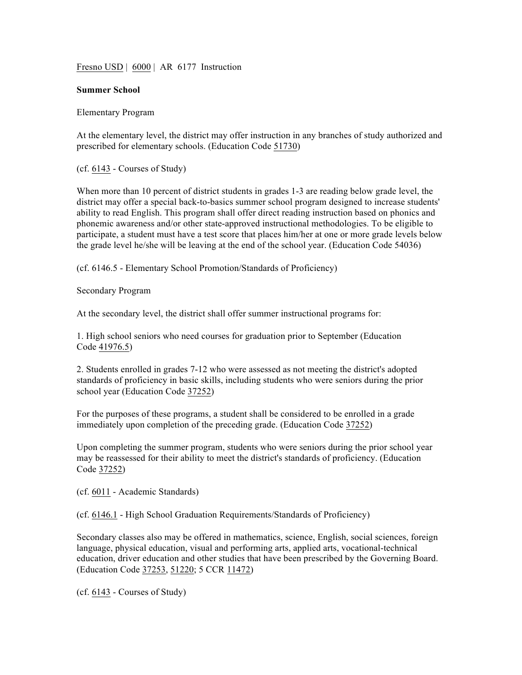Fresno USD | 6000 | AR 6177 Instruction

#### **Summer School**

Elementary Program

At the elementary level, the district may offer instruction in any branches of study authorized and prescribed for elementary schools. (Education Code 51730)

(cf. 6143 - Courses of Study)

When more than 10 percent of district students in grades 1-3 are reading below grade level, the district may offer a special back-to-basics summer school program designed to increase students' ability to read English. This program shall offer direct reading instruction based on phonics and phonemic awareness and/or other state-approved instructional methodologies. To be eligible to participate, a student must have a test score that places him/her at one or more grade levels below the grade level he/she will be leaving at the end of the school year. (Education Code 54036)

(cf. 6146.5 - Elementary School Promotion/Standards of Proficiency)

Secondary Program

At the secondary level, the district shall offer summer instructional programs for:

1. High school seniors who need courses for graduation prior to September (Education Code 41976.5)

2. Students enrolled in grades 7-12 who were assessed as not meeting the district's adopted standards of proficiency in basic skills, including students who were seniors during the prior school year (Education Code 37252)

For the purposes of these programs, a student shall be considered to be enrolled in a grade immediately upon completion of the preceding grade. (Education Code 37252)

Upon completing the summer program, students who were seniors during the prior school year may be reassessed for their ability to meet the district's standards of proficiency. (Education Code 37252)

(cf. 6011 - Academic Standards)

(cf. 6146.1 - High School Graduation Requirements/Standards of Proficiency)

Secondary classes also may be offered in mathematics, science, English, social sciences, foreign language, physical education, visual and performing arts, applied arts, vocational-technical education, driver education and other studies that have been prescribed by the Governing Board. (Education Code 37253, 51220; 5 CCR 11472)

(cf. 6143 - Courses of Study)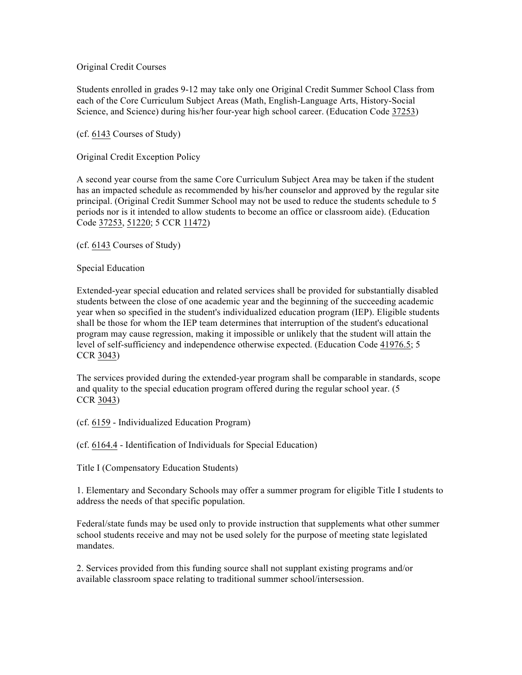Original Credit Courses

Students enrolled in grades 9-12 may take only one Original Credit Summer School Class from each of the Core Curriculum Subject Areas (Math, English-Language Arts, History-Social Science, and Science) during his/her four-year high school career. (Education Code 37253)

(cf. 6143 Courses of Study)

Original Credit Exception Policy

A second year course from the same Core Curriculum Subject Area may be taken if the student has an impacted schedule as recommended by his/her counselor and approved by the regular site principal. (Original Credit Summer School may not be used to reduce the students schedule to 5 periods nor is it intended to allow students to become an office or classroom aide). (Education Code 37253, 51220; 5 CCR 11472)

(cf. 6143 Courses of Study)

Special Education

Extended-year special education and related services shall be provided for substantially disabled students between the close of one academic year and the beginning of the succeeding academic year when so specified in the student's individualized education program (IEP). Eligible students shall be those for whom the IEP team determines that interruption of the student's educational program may cause regression, making it impossible or unlikely that the student will attain the level of self-sufficiency and independence otherwise expected. (Education Code 41976.5; 5 CCR 3043)

The services provided during the extended-year program shall be comparable in standards, scope and quality to the special education program offered during the regular school year. (5 CCR 3043)

(cf. 6159 - Individualized Education Program)

(cf. 6164.4 - Identification of Individuals for Special Education)

Title I (Compensatory Education Students)

1. Elementary and Secondary Schools may offer a summer program for eligible Title I students to address the needs of that specific population.

Federal/state funds may be used only to provide instruction that supplements what other summer school students receive and may not be used solely for the purpose of meeting state legislated mandates.

2. Services provided from this funding source shall not supplant existing programs and/or available classroom space relating to traditional summer school/intersession.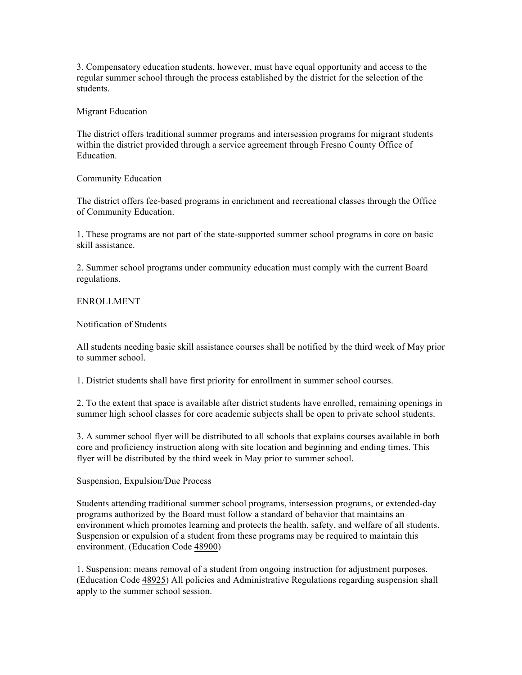3. Compensatory education students, however, must have equal opportunity and access to the regular summer school through the process established by the district for the selection of the students.

### Migrant Education

The district offers traditional summer programs and intersession programs for migrant students within the district provided through a service agreement through Fresno County Office of Education.

# Community Education

The district offers fee-based programs in enrichment and recreational classes through the Office of Community Education.

1. These programs are not part of the state-supported summer school programs in core on basic skill assistance.

2. Summer school programs under community education must comply with the current Board regulations.

## ENROLLMENT

Notification of Students

All students needing basic skill assistance courses shall be notified by the third week of May prior to summer school.

1. District students shall have first priority for enrollment in summer school courses.

2. To the extent that space is available after district students have enrolled, remaining openings in summer high school classes for core academic subjects shall be open to private school students.

3. A summer school flyer will be distributed to all schools that explains courses available in both core and proficiency instruction along with site location and beginning and ending times. This flyer will be distributed by the third week in May prior to summer school.

# Suspension, Expulsion/Due Process

Students attending traditional summer school programs, intersession programs, or extended-day programs authorized by the Board must follow a standard of behavior that maintains an environment which promotes learning and protects the health, safety, and welfare of all students. Suspension or expulsion of a student from these programs may be required to maintain this environment. (Education Code 48900)

1. Suspension: means removal of a student from ongoing instruction for adjustment purposes. (Education Code 48925) All policies and Administrative Regulations regarding suspension shall apply to the summer school session.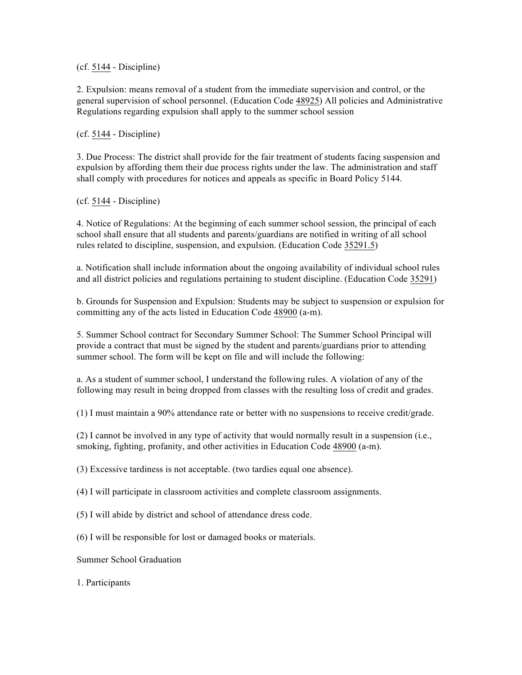(cf. 5144 - Discipline)

2. Expulsion: means removal of a student from the immediate supervision and control, or the general supervision of school personnel. (Education Code 48925) All policies and Administrative Regulations regarding expulsion shall apply to the summer school session

(cf. 5144 - Discipline)

3. Due Process: The district shall provide for the fair treatment of students facing suspension and expulsion by affording them their due process rights under the law. The administration and staff shall comply with procedures for notices and appeals as specific in Board Policy 5144.

(cf. 5144 - Discipline)

4. Notice of Regulations: At the beginning of each summer school session, the principal of each school shall ensure that all students and parents/guardians are notified in writing of all school rules related to discipline, suspension, and expulsion. (Education Code 35291.5)

a. Notification shall include information about the ongoing availability of individual school rules and all district policies and regulations pertaining to student discipline. (Education Code 35291)

b. Grounds for Suspension and Expulsion: Students may be subject to suspension or expulsion for committing any of the acts listed in Education Code 48900 (a-m).

5. Summer School contract for Secondary Summer School: The Summer School Principal will provide a contract that must be signed by the student and parents/guardians prior to attending summer school. The form will be kept on file and will include the following:

a. As a student of summer school, I understand the following rules. A violation of any of the following may result in being dropped from classes with the resulting loss of credit and grades.

(1) I must maintain a 90% attendance rate or better with no suspensions to receive credit/grade.

(2) I cannot be involved in any type of activity that would normally result in a suspension (i.e., smoking, fighting, profanity, and other activities in Education Code 48900 (a-m).

(3) Excessive tardiness is not acceptable. (two tardies equal one absence).

(4) I will participate in classroom activities and complete classroom assignments.

- (5) I will abide by district and school of attendance dress code.
- (6) I will be responsible for lost or damaged books or materials.

Summer School Graduation

1. Participants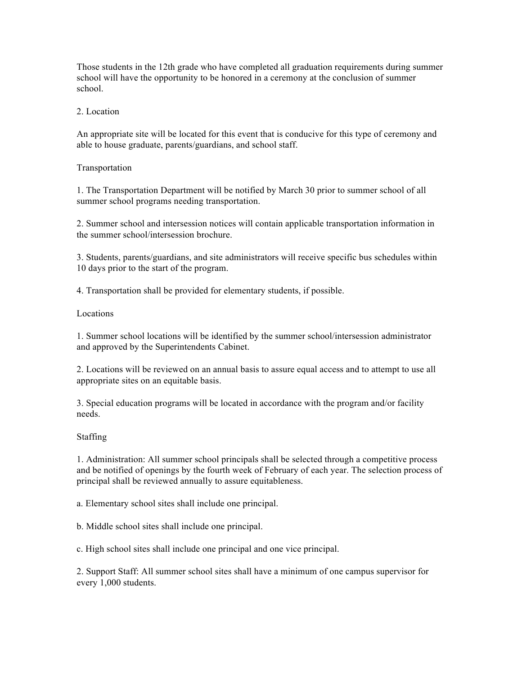Those students in the 12th grade who have completed all graduation requirements during summer school will have the opportunity to be honored in a ceremony at the conclusion of summer school.

## 2. Location

An appropriate site will be located for this event that is conducive for this type of ceremony and able to house graduate, parents/guardians, and school staff.

### Transportation

1. The Transportation Department will be notified by March 30 prior to summer school of all summer school programs needing transportation.

2. Summer school and intersession notices will contain applicable transportation information in the summer school/intersession brochure.

3. Students, parents/guardians, and site administrators will receive specific bus schedules within 10 days prior to the start of the program.

4. Transportation shall be provided for elementary students, if possible.

### Locations

1. Summer school locations will be identified by the summer school/intersession administrator and approved by the Superintendents Cabinet.

2. Locations will be reviewed on an annual basis to assure equal access and to attempt to use all appropriate sites on an equitable basis.

3. Special education programs will be located in accordance with the program and/or facility needs.

#### Staffing

1. Administration: All summer school principals shall be selected through a competitive process and be notified of openings by the fourth week of February of each year. The selection process of principal shall be reviewed annually to assure equitableness.

a. Elementary school sites shall include one principal.

b. Middle school sites shall include one principal.

c. High school sites shall include one principal and one vice principal.

2. Support Staff: All summer school sites shall have a minimum of one campus supervisor for every 1,000 students.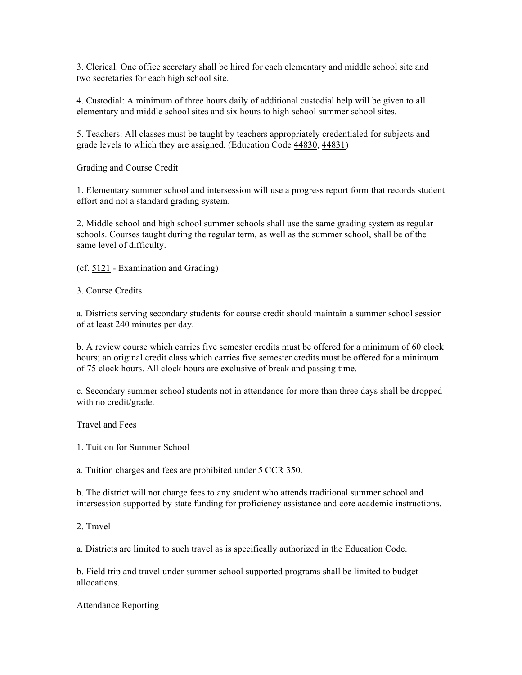3. Clerical: One office secretary shall be hired for each elementary and middle school site and two secretaries for each high school site.

4. Custodial: A minimum of three hours daily of additional custodial help will be given to all elementary and middle school sites and six hours to high school summer school sites.

5. Teachers: All classes must be taught by teachers appropriately credentialed for subjects and grade levels to which they are assigned. (Education Code 44830, 44831)

Grading and Course Credit

1. Elementary summer school and intersession will use a progress report form that records student effort and not a standard grading system.

2. Middle school and high school summer schools shall use the same grading system as regular schools. Courses taught during the regular term, as well as the summer school, shall be of the same level of difficulty.

(cf. 5121 - Examination and Grading)

3. Course Credits

a. Districts serving secondary students for course credit should maintain a summer school session of at least 240 minutes per day.

b. A review course which carries five semester credits must be offered for a minimum of 60 clock hours; an original credit class which carries five semester credits must be offered for a minimum of 75 clock hours. All clock hours are exclusive of break and passing time.

c. Secondary summer school students not in attendance for more than three days shall be dropped with no credit/grade.

Travel and Fees

1. Tuition for Summer School

a. Tuition charges and fees are prohibited under 5 CCR 350.

b. The district will not charge fees to any student who attends traditional summer school and intersession supported by state funding for proficiency assistance and core academic instructions.

2. Travel

a. Districts are limited to such travel as is specifically authorized in the Education Code.

b. Field trip and travel under summer school supported programs shall be limited to budget allocations.

Attendance Reporting